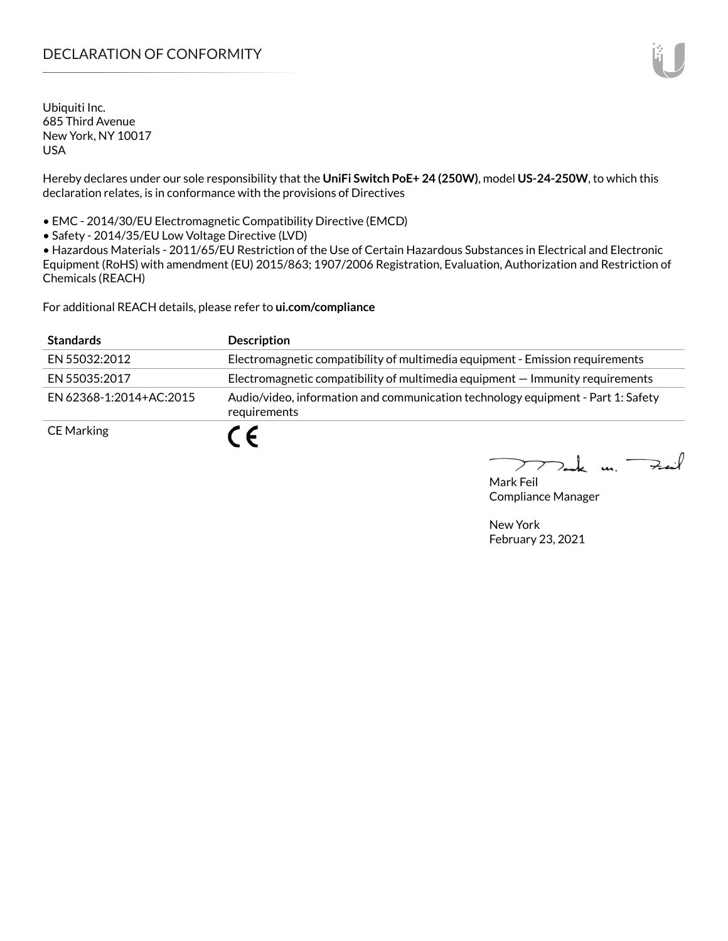# DECLARATION OF CONFORMITY

Ubiquiti Inc. 685 Third Avenue New York, NY 10017 USA

Hereby declares under our sole responsibility that the **UniFi Switch PoE+ 24 (250W)**, model **US-24-250W**, to which this declaration relates, is in conformance with the provisions of Directives

• EMC - 2014/30/EU Electromagnetic Compatibility Directive (EMCD)

• Safety - 2014/35/EU Low Voltage Directive (LVD)

• Hazardous Materials - 2011/65/EU Restriction of the Use of Certain Hazardous Substances in Electrical and Electronic Equipment (RoHS) with amendment (EU) 2015/863; 1907/2006 Registration, Evaluation, Authorization and Restriction of Chemicals (REACH)

For additional REACH details, please refer to **<ui.com/compliance>**

| <b>Standards</b>        | <b>Description</b>                                                                               |
|-------------------------|--------------------------------------------------------------------------------------------------|
| EN 55032:2012           | Electromagnetic compatibility of multimedia equipment - Emission requirements                    |
| EN 55035:2017           | Electromagnetic compatibility of multimedia equipment – Immunity requirements                    |
| EN 62368-1:2014+AC:2015 | Audio/video, information and communication technology equipment - Part 1: Safety<br>requirements |
| <b>CE Marking</b>       |                                                                                                  |

 $k$  un  $\rightarrow$ 

Mark Feil Compliance Manager

New York February 23, 2021